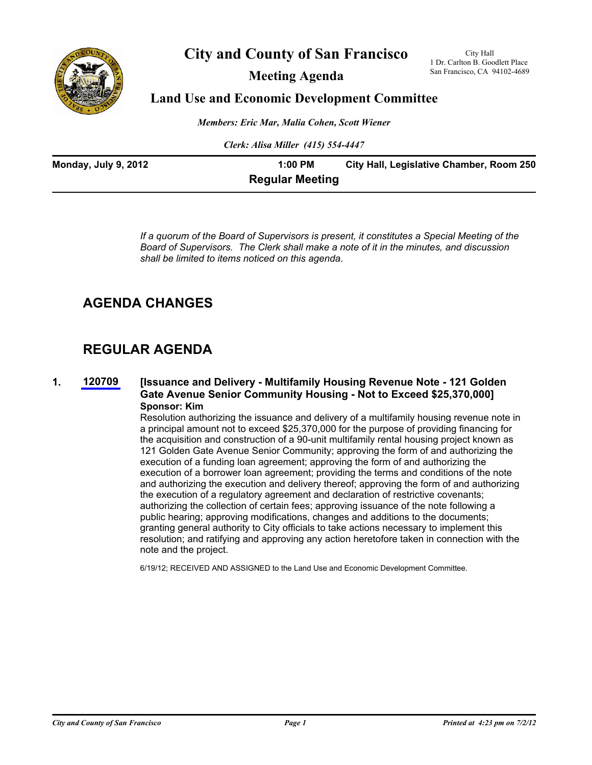

# **City and County of San Francisco**

**Meeting Agenda**

City Hall 1 Dr. Carlton B. Goodlett Place San Francisco, CA 94102-4689

# **Land Use and Economic Development Committee**

*Members: Eric Mar, Malia Cohen, Scott Wiener*

*Clerk: Alisa Miller (415) 554-4447*

| Monday, July 9, 2012 | 1:00 PM                | City Hall, Legislative Chamber, Room 250 |
|----------------------|------------------------|------------------------------------------|
|                      | <b>Regular Meeting</b> |                                          |

*If a quorum of the Board of Supervisors is present, it constitutes a Special Meeting of the Board of Supervisors. The Clerk shall make a note of it in the minutes, and discussion shall be limited to items noticed on this agenda.*

# **AGENDA CHANGES**

# **REGULAR AGENDA**

**1. [120709](http://www.sfbos.org/ftp/uploadedfiles/bdsupvrs/committees/materials/LU070912_120709.pdf)**

# **[Issuance and Delivery - Multifamily Housing Revenue Note - 121 Golden Gate Avenue Senior Community Housing - Not to Exceed \$25,370,000] Sponsor: Kim**

Resolution authorizing the issuance and delivery of a multifamily housing revenue note in a principal amount not to exceed \$25,370,000 for the purpose of providing financing for the acquisition and construction of a 90-unit multifamily rental housing project known as 121 Golden Gate Avenue Senior Community; approving the form of and authorizing the execution of a funding loan agreement; approving the form of and authorizing the execution of a borrower loan agreement; providing the terms and conditions of the note and authorizing the execution and delivery thereof; approving the form of and authorizing the execution of a regulatory agreement and declaration of restrictive covenants; authorizing the collection of certain fees; approving issuance of the note following a public hearing; approving modifications, changes and additions to the documents; granting general authority to City officials to take actions necessary to implement this resolution; and ratifying and approving any action heretofore taken in connection with the note and the project.

6/19/12; RECEIVED AND ASSIGNED to the Land Use and Economic Development Committee.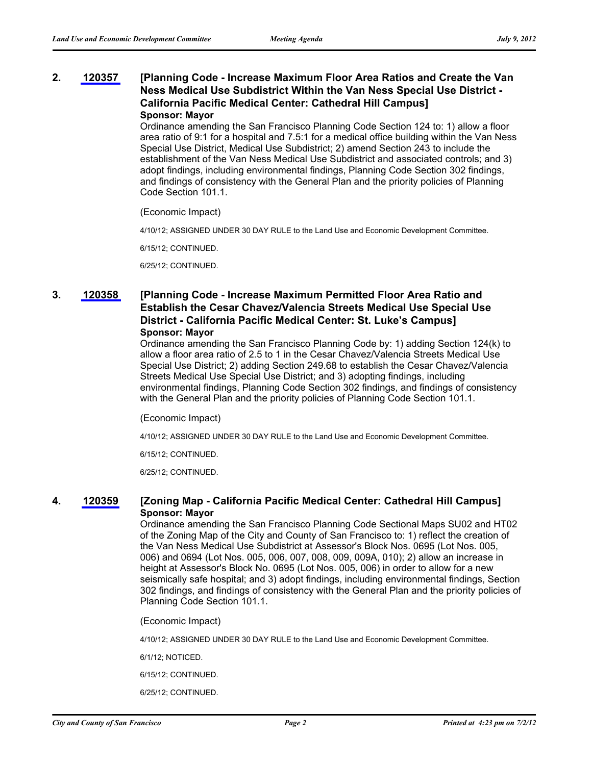### **[Planning Code - Increase Maximum Floor Area Ratios and Create the Van Ness Medical Use Subdistrict Within the Van Ness Special Use District - California Pacific Medical Center: Cathedral Hill Campus] 2. [120357](http://www.sfbos.org/ftp/uploadedfiles/bdsupvrs/committees/materials/LU070912_120357.pdf) Sponsor: Mayor**

Ordinance amending the San Francisco Planning Code Section 124 to: 1) allow a floor area ratio of 9:1 for a hospital and 7.5:1 for a medical office building within the Van Ness Special Use District, Medical Use Subdistrict; 2) amend Section 243 to include the establishment of the Van Ness Medical Use Subdistrict and associated controls; and 3) adopt findings, including environmental findings, Planning Code Section 302 findings, and findings of consistency with the General Plan and the priority policies of Planning Code Section 101.1.

## (Economic Impact)

4/10/12; ASSIGNED UNDER 30 DAY RULE to the Land Use and Economic Development Committee.

6/15/12; CONTINUED.

6/25/12; CONTINUED.

### **[Planning Code - Increase Maximum Permitted Floor Area Ratio and Establish the Cesar Chavez/Valencia Streets Medical Use Special Use District - California Pacific Medical Center: St. Luke's Campus] 3. [120358](http://www.sfbos.org/ftp/uploadedfiles/bdsupvrs/committees/materials/LU070912_120358.pdf) Sponsor: Mayor**

Ordinance amending the San Francisco Planning Code by: 1) adding Section 124(k) to allow a floor area ratio of 2.5 to 1 in the Cesar Chavez/Valencia Streets Medical Use Special Use District; 2) adding Section 249.68 to establish the Cesar Chavez/Valencia Streets Medical Use Special Use District; and 3) adopting findings, including environmental findings, Planning Code Section 302 findings, and findings of consistency with the General Plan and the priority policies of Planning Code Section 101.1.

(Economic Impact)

4/10/12; ASSIGNED UNDER 30 DAY RULE to the Land Use and Economic Development Committee.

6/15/12; CONTINUED.

6/25/12; CONTINUED.

# **4. [120359](http://www.sfbos.org/ftp/uploadedfiles/bdsupvrs/committees/materials/LU070912_120359.pdf) [Zoning Map - California Pacific Medical Center: Cathedral Hill Campus] Sponsor: Mayor**

Ordinance amending the San Francisco Planning Code Sectional Maps SU02 and HT02 of the Zoning Map of the City and County of San Francisco to: 1) reflect the creation of the Van Ness Medical Use Subdistrict at Assessor's Block Nos. 0695 (Lot Nos. 005, 006) and 0694 (Lot Nos. 005, 006, 007, 008, 009, 009A, 010); 2) allow an increase in height at Assessor's Block No. 0695 (Lot Nos. 005, 006) in order to allow for a new seismically safe hospital; and 3) adopt findings, including environmental findings, Section 302 findings, and findings of consistency with the General Plan and the priority policies of Planning Code Section 101.1.

(Economic Impact)

4/10/12; ASSIGNED UNDER 30 DAY RULE to the Land Use and Economic Development Committee.

6/1/12; NOTICED.

6/15/12; CONTINUED.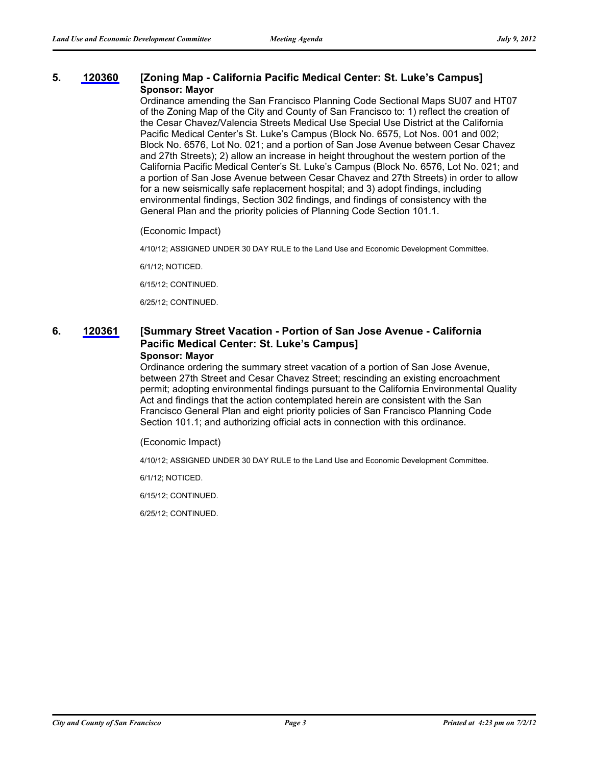# **5. [120360](http://www.sfbos.org/ftp/uploadedfiles/bdsupvrs/committees/materials/LU070912_120360.pdf) [Zoning Map - California Pacific Medical Center: St. Luke's Campus] Sponsor: Mayor**

Ordinance amending the San Francisco Planning Code Sectional Maps SU07 and HT07 of the Zoning Map of the City and County of San Francisco to: 1) reflect the creation of the Cesar Chavez/Valencia Streets Medical Use Special Use District at the California Pacific Medical Center's St. Luke's Campus (Block No. 6575, Lot Nos. 001 and 002; Block No. 6576, Lot No. 021; and a portion of San Jose Avenue between Cesar Chavez and 27th Streets); 2) allow an increase in height throughout the western portion of the California Pacific Medical Center's St. Luke's Campus (Block No. 6576, Lot No. 021; and a portion of San Jose Avenue between Cesar Chavez and 27th Streets) in order to allow for a new seismically safe replacement hospital; and 3) adopt findings, including environmental findings, Section 302 findings, and findings of consistency with the General Plan and the priority policies of Planning Code Section 101.1.

(Economic Impact)

4/10/12; ASSIGNED UNDER 30 DAY RULE to the Land Use and Economic Development Committee.

6/1/12; NOTICED.

6/15/12; CONTINUED.

6/25/12; CONTINUED.

## **[Summary Street Vacation - Portion of San Jose Avenue - California Pacific Medical Center: St. Luke's Campus] 6. [120361](http://www.sfbos.org/ftp/uploadedfiles/bdsupvrs/committees/materials/LU070912_120361.pdf)**

## **Sponsor: Mayor**

Ordinance ordering the summary street vacation of a portion of San Jose Avenue, between 27th Street and Cesar Chavez Street; rescinding an existing encroachment permit; adopting environmental findings pursuant to the California Environmental Quality Act and findings that the action contemplated herein are consistent with the San Francisco General Plan and eight priority policies of San Francisco Planning Code Section 101.1; and authorizing official acts in connection with this ordinance.

(Economic Impact)

4/10/12; ASSIGNED UNDER 30 DAY RULE to the Land Use and Economic Development Committee.

6/1/12; NOTICED.

6/15/12; CONTINUED.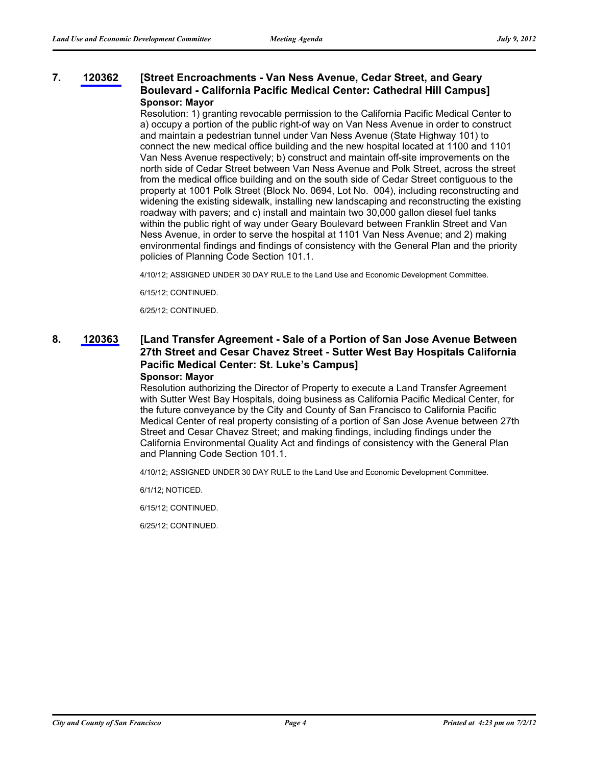### **[Street Encroachments - Van Ness Avenue, Cedar Street, and Geary Boulevard - California Pacific Medical Center: Cathedral Hill Campus] 7. [120362](http://www.sfbos.org/ftp/uploadedfiles/bdsupvrs/committees/materials/LU070912_120362.pdf) Sponsor: Mayor**

Resolution: 1) granting revocable permission to the California Pacific Medical Center to a) occupy a portion of the public right-of way on Van Ness Avenue in order to construct and maintain a pedestrian tunnel under Van Ness Avenue (State Highway 101) to connect the new medical office building and the new hospital located at 1100 and 1101 Van Ness Avenue respectively; b) construct and maintain off-site improvements on the north side of Cedar Street between Van Ness Avenue and Polk Street, across the street from the medical office building and on the south side of Cedar Street contiguous to the property at 1001 Polk Street (Block No. 0694, Lot No. 004), including reconstructing and widening the existing sidewalk, installing new landscaping and reconstructing the existing roadway with pavers; and c) install and maintain two 30,000 gallon diesel fuel tanks within the public right of way under Geary Boulevard between Franklin Street and Van Ness Avenue, in order to serve the hospital at 1101 Van Ness Avenue; and 2) making environmental findings and findings of consistency with the General Plan and the priority policies of Planning Code Section 101.1.

4/10/12; ASSIGNED UNDER 30 DAY RULE to the Land Use and Economic Development Committee.

6/15/12; CONTINUED.

6/25/12; CONTINUED.

### **[Land Transfer Agreement - Sale of a Portion of San Jose Avenue Between 27th Street and Cesar Chavez Street - Sutter West Bay Hospitals California Pacific Medical Center: St. Luke's Campus] 8. [120363](http://www.sfbos.org/ftp/uploadedfiles/bdsupvrs/committees/materials/LU070912_120363.pdf) Sponsor: Mayor**

Resolution authorizing the Director of Property to execute a Land Transfer Agreement with Sutter West Bay Hospitals, doing business as California Pacific Medical Center, for the future conveyance by the City and County of San Francisco to California Pacific Medical Center of real property consisting of a portion of San Jose Avenue between 27th Street and Cesar Chavez Street; and making findings, including findings under the California Environmental Quality Act and findings of consistency with the General Plan and Planning Code Section 101.1.

4/10/12; ASSIGNED UNDER 30 DAY RULE to the Land Use and Economic Development Committee.

6/1/12; NOTICED.

6/15/12; CONTINUED.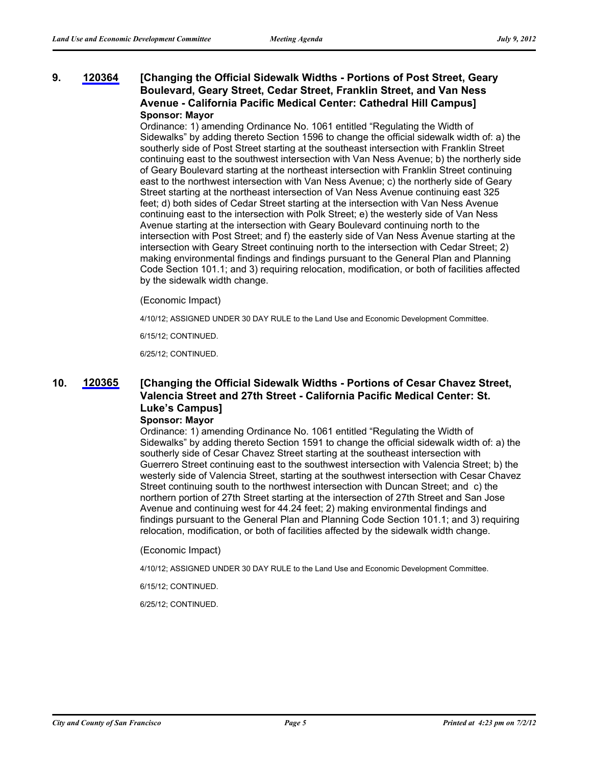### **[Changing the Official Sidewalk Widths - Portions of Post Street, Geary Boulevard, Geary Street, Cedar Street, Franklin Street, and Van Ness Avenue - California Pacific Medical Center: Cathedral Hill Campus] 9. [120364](http://www.sfbos.org/ftp/uploadedfiles/bdsupvrs/committees/materials/LU070912_120364.pdf) Sponsor: Mayor**

Ordinance: 1) amending Ordinance No. 1061 entitled "Regulating the Width of Sidewalks" by adding thereto Section 1596 to change the official sidewalk width of: a) the southerly side of Post Street starting at the southeast intersection with Franklin Street continuing east to the southwest intersection with Van Ness Avenue; b) the northerly side of Geary Boulevard starting at the northeast intersection with Franklin Street continuing east to the northwest intersection with Van Ness Avenue; c) the northerly side of Geary Street starting at the northeast intersection of Van Ness Avenue continuing east 325 feet; d) both sides of Cedar Street starting at the intersection with Van Ness Avenue continuing east to the intersection with Polk Street; e) the westerly side of Van Ness Avenue starting at the intersection with Geary Boulevard continuing north to the intersection with Post Street; and f) the easterly side of Van Ness Avenue starting at the intersection with Geary Street continuing north to the intersection with Cedar Street; 2) making environmental findings and findings pursuant to the General Plan and Planning Code Section 101.1; and 3) requiring relocation, modification, or both of facilities affected by the sidewalk width change.

(Economic Impact)

4/10/12; ASSIGNED UNDER 30 DAY RULE to the Land Use and Economic Development Committee.

6/15/12; CONTINUED.

6/25/12; CONTINUED.

### **[Changing the Official Sidewalk Widths - Portions of Cesar Chavez Street, Valencia Street and 27th Street - California Pacific Medical Center: St. Luke's Campus] 10. [120365](http://www.sfbos.org/ftp/uploadedfiles/bdsupvrs/committees/materials/LU070912_120365.pdf)**

## **Sponsor: Mayor**

Ordinance: 1) amending Ordinance No. 1061 entitled "Regulating the Width of Sidewalks" by adding thereto Section 1591 to change the official sidewalk width of: a) the southerly side of Cesar Chavez Street starting at the southeast intersection with Guerrero Street continuing east to the southwest intersection with Valencia Street; b) the westerly side of Valencia Street, starting at the southwest intersection with Cesar Chavez Street continuing south to the northwest intersection with Duncan Street; and c) the northern portion of 27th Street starting at the intersection of 27th Street and San Jose Avenue and continuing west for 44.24 feet; 2) making environmental findings and findings pursuant to the General Plan and Planning Code Section 101.1; and 3) requiring relocation, modification, or both of facilities affected by the sidewalk width change.

(Economic Impact)

4/10/12; ASSIGNED UNDER 30 DAY RULE to the Land Use and Economic Development Committee.

6/15/12; CONTINUED.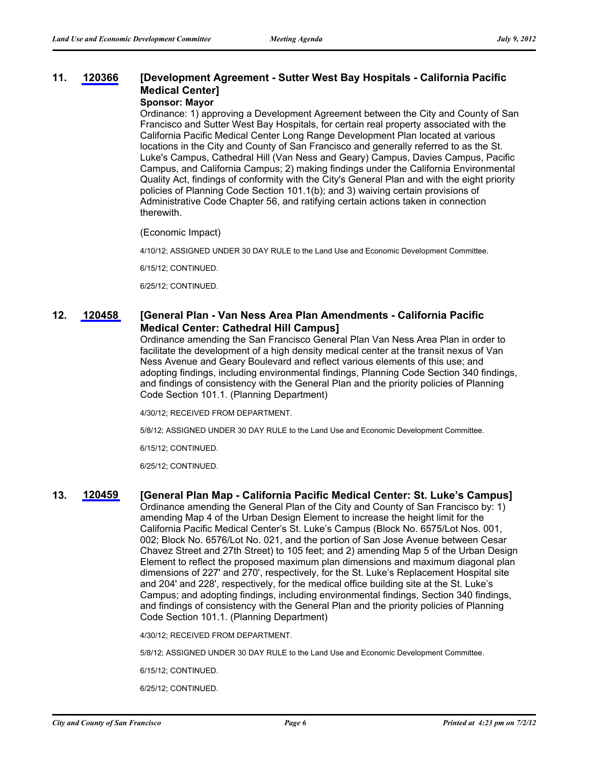### **[Development Agreement - Sutter West Bay Hospitals - California Pacific Medical Center] 11. [120366](http://www.sfbos.org/ftp/uploadedfiles/bdsupvrs/committees/materials/LU070912_120366.pdf)**

# **Sponsor: Mayor**

Ordinance: 1) approving a Development Agreement between the City and County of San Francisco and Sutter West Bay Hospitals, for certain real property associated with the California Pacific Medical Center Long Range Development Plan located at various locations in the City and County of San Francisco and generally referred to as the St. Luke's Campus, Cathedral Hill (Van Ness and Geary) Campus, Davies Campus, Pacific Campus, and California Campus; 2) making findings under the California Environmental Quality Act, findings of conformity with the City's General Plan and with the eight priority policies of Planning Code Section 101.1(b); and 3) waiving certain provisions of Administrative Code Chapter 56, and ratifying certain actions taken in connection therewith.

(Economic Impact)

4/10/12; ASSIGNED UNDER 30 DAY RULE to the Land Use and Economic Development Committee.

6/15/12; CONTINUED.

6/25/12; CONTINUED.

#### **[General Plan - Van Ness Area Plan Amendments - California Pacific Medical Center: Cathedral Hill Campus] 12. [120458](http://www.sfbos.org/ftp/uploadedfiles/bdsupvrs/committees/materials/LU070912_120458.pdf)**

Ordinance amending the San Francisco General Plan Van Ness Area Plan in order to facilitate the development of a high density medical center at the transit nexus of Van Ness Avenue and Geary Boulevard and reflect various elements of this use; and adopting findings, including environmental findings, Planning Code Section 340 findings, and findings of consistency with the General Plan and the priority policies of Planning Code Section 101.1. (Planning Department)

4/30/12; RECEIVED FROM DEPARTMENT.

5/8/12; ASSIGNED UNDER 30 DAY RULE to the Land Use and Economic Development Committee.

6/15/12; CONTINUED.

6/25/12; CONTINUED.

## **13. [120459](http://www.sfbos.org/ftp/uploadedfiles/bdsupvrs/committees/materials/LU070912_120459.pdf) [General Plan Map - California Pacific Medical Center: St. Luke's Campus]**

Ordinance amending the General Plan of the City and County of San Francisco by: 1) amending Map 4 of the Urban Design Element to increase the height limit for the California Pacific Medical Center's St. Luke's Campus (Block No. 6575/Lot Nos. 001, 002; Block No. 6576/Lot No. 021, and the portion of San Jose Avenue between Cesar Chavez Street and 27th Street) to 105 feet; and 2) amending Map 5 of the Urban Design Element to reflect the proposed maximum plan dimensions and maximum diagonal plan dimensions of 227' and 270', respectively, for the St. Luke's Replacement Hospital site and 204' and 228', respectively, for the medical office building site at the St. Luke's Campus; and adopting findings, including environmental findings, Section 340 findings, and findings of consistency with the General Plan and the priority policies of Planning Code Section 101.1. (Planning Department)

4/30/12; RECEIVED FROM DEPARTMENT.

5/8/12; ASSIGNED UNDER 30 DAY RULE to the Land Use and Economic Development Committee.

6/15/12; CONTINUED.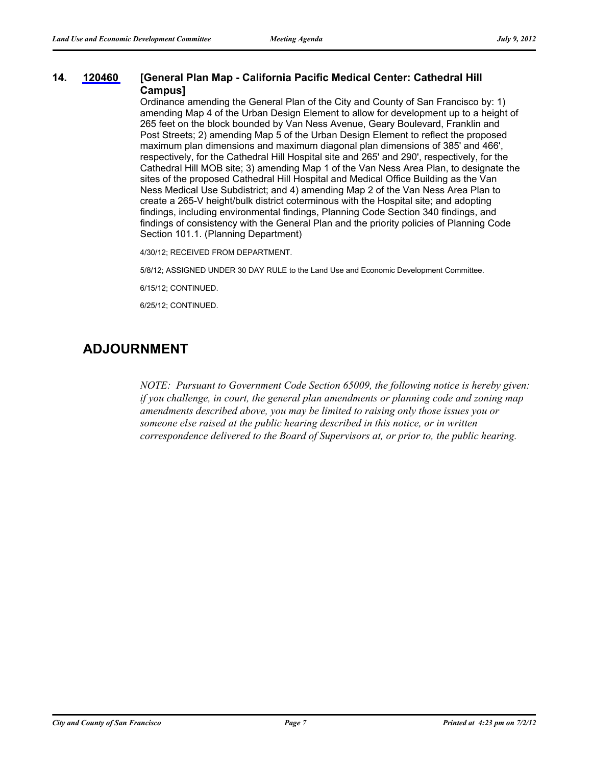#### **[General Plan Map - California Pacific Medical Center: Cathedral Hill Campus] 14. [120460](http://www.sfbos.org/ftp/uploadedfiles/bdsupvrs/committees/materials/LU070912_120460.pdf)**

Ordinance amending the General Plan of the City and County of San Francisco by: 1) amending Map 4 of the Urban Design Element to allow for development up to a height of 265 feet on the block bounded by Van Ness Avenue, Geary Boulevard, Franklin and Post Streets; 2) amending Map 5 of the Urban Design Element to reflect the proposed maximum plan dimensions and maximum diagonal plan dimensions of 385' and 466', respectively, for the Cathedral Hill Hospital site and 265' and 290', respectively, for the Cathedral Hill MOB site; 3) amending Map 1 of the Van Ness Area Plan, to designate the sites of the proposed Cathedral Hill Hospital and Medical Office Building as the Van Ness Medical Use Subdistrict; and 4) amending Map 2 of the Van Ness Area Plan to create a 265-V height/bulk district coterminous with the Hospital site; and adopting findings, including environmental findings, Planning Code Section 340 findings, and findings of consistency with the General Plan and the priority policies of Planning Code Section 101.1. (Planning Department)

4/30/12; RECEIVED FROM DEPARTMENT.

5/8/12; ASSIGNED UNDER 30 DAY RULE to the Land Use and Economic Development Committee.

6/15/12; CONTINUED.

6/25/12; CONTINUED.

# **ADJOURNMENT**

*NOTE: Pursuant to Government Code Section 65009, the following notice is hereby given: if you challenge, in court, the general plan amendments or planning code and zoning map amendments described above, you may be limited to raising only those issues you or someone else raised at the public hearing described in this notice, or in written correspondence delivered to the Board of Supervisors at, or prior to, the public hearing.*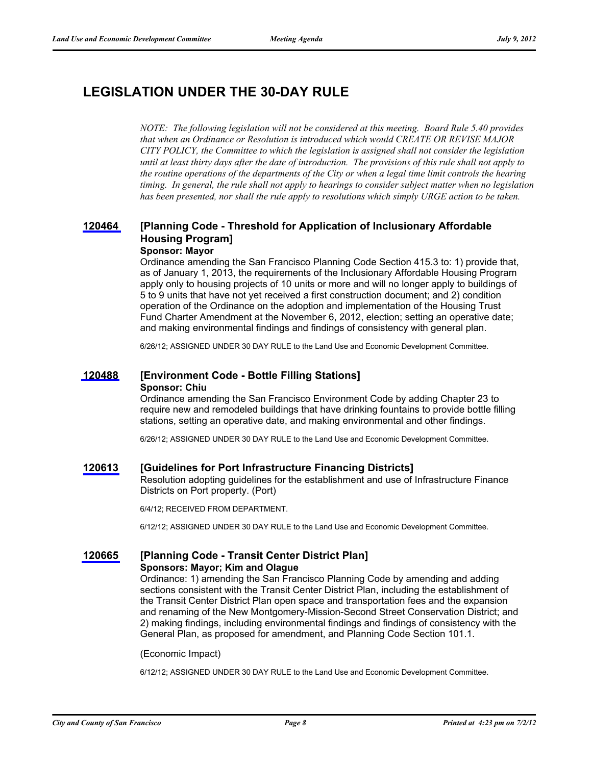# **LEGISLATION UNDER THE 30-DAY RULE**

*NOTE: The following legislation will not be considered at this meeting. Board Rule 5.40 provides that when an Ordinance or Resolution is introduced which would CREATE OR REVISE MAJOR CITY POLICY, the Committee to which the legislation is assigned shall not consider the legislation until at least thirty days after the date of introduction. The provisions of this rule shall not apply to the routine operations of the departments of the City or when a legal time limit controls the hearing timing. In general, the rule shall not apply to hearings to consider subject matter when no legislation has been presented, nor shall the rule apply to resolutions which simply URGE action to be taken.*

### **[Planning Code - Threshold for Application of Inclusionary Affordable Housing Program] [120464](http://www.sfbos.org/ftp/uploadedfiles/bdsupvrs/committees/materials/LU120464tdr.pdf) Sponsor: Mayor**

Ordinance amending the San Francisco Planning Code Section 415.3 to: 1) provide that, as of January 1, 2013, the requirements of the Inclusionary Affordable Housing Program apply only to housing projects of 10 units or more and will no longer apply to buildings of 5 to 9 units that have not yet received a first construction document; and 2) condition operation of the Ordinance on the adoption and implementation of the Housing Trust Fund Charter Amendment at the November 6, 2012, election; setting an operative date; and making environmental findings and findings of consistency with general plan.

6/26/12; ASSIGNED UNDER 30 DAY RULE to the Land Use and Economic Development Committee.

## **[120488](http://www.sfbos.org/ftp/uploadedfiles/bdsupvrs/committees/materials/LU120488tdr.pdf) [Environment Code - Bottle Filling Stations] Sponsor: Chiu**

Ordinance amending the San Francisco Environment Code by adding Chapter 23 to require new and remodeled buildings that have drinking fountains to provide bottle filling stations, setting an operative date, and making environmental and other findings.

6/26/12; ASSIGNED UNDER 30 DAY RULE to the Land Use and Economic Development Committee.

## **[120613](http://www.sfbos.org/ftp/uploadedfiles/bdsupvrs/committees/materials/LU120613tdr.pdf) [Guidelines for Port Infrastructure Financing Districts]**

Resolution adopting guidelines for the establishment and use of Infrastructure Finance Districts on Port property. (Port)

6/4/12; RECEIVED FROM DEPARTMENT.

6/12/12; ASSIGNED UNDER 30 DAY RULE to the Land Use and Economic Development Committee.

## **[120665](http://www.sfbos.org/ftp/uploadedfiles/bdsupvrs/committees/materials/LU120665tdr.pdf) [Planning Code - Transit Center District Plan] Sponsors: Mayor; Kim and Olague**

Ordinance: 1) amending the San Francisco Planning Code by amending and adding sections consistent with the Transit Center District Plan, including the establishment of the Transit Center District Plan open space and transportation fees and the expansion and renaming of the New Montgomery-Mission-Second Street Conservation District; and 2) making findings, including environmental findings and findings of consistency with the General Plan, as proposed for amendment, and Planning Code Section 101.1.

(Economic Impact)

6/12/12; ASSIGNED UNDER 30 DAY RULE to the Land Use and Economic Development Committee.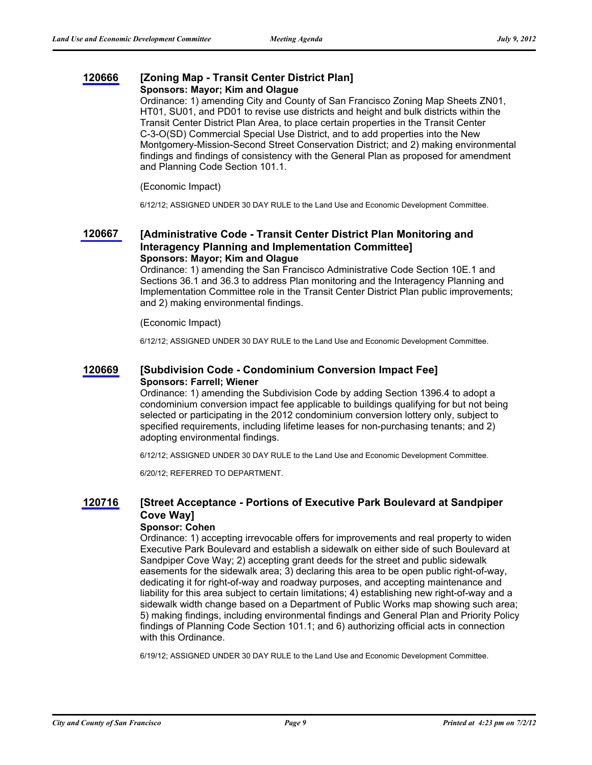# **[120666](http://www.sfbos.org/ftp/uploadedfiles/bdsupvrs/committees/materials/LU120666tdr.pdf) [Zoning Map - Transit Center District Plan] Sponsors: Mayor; Kim and Olague**

Ordinance: 1) amending City and County of San Francisco Zoning Map Sheets ZN01, HT01, SU01, and PD01 to revise use districts and height and bulk districts within the Transit Center District Plan Area, to place certain properties in the Transit Center C-3-O(SD) Commercial Special Use District, and to add properties into the New Montgomery-Mission-Second Street Conservation District; and 2) making environmental findings and findings of consistency with the General Plan as proposed for amendment and Planning Code Section 101.1.

## (Economic Impact)

6/12/12; ASSIGNED UNDER 30 DAY RULE to the Land Use and Economic Development Committee.

### **[Administrative Code - Transit Center District Plan Monitoring and Interagency Planning and Implementation Committee] [120667](http://www.sfbos.org/ftp/uploadedfiles/bdsupvrs/committees/materials/LU120667tdr.pdf) Sponsors: Mayor; Kim and Olague**

Ordinance: 1) amending the San Francisco Administrative Code Section 10E.1 and Sections 36.1 and 36.3 to address Plan monitoring and the Interagency Planning and Implementation Committee role in the Transit Center District Plan public improvements; and 2) making environmental findings.

## (Economic Impact)

6/12/12; ASSIGNED UNDER 30 DAY RULE to the Land Use and Economic Development Committee.

# **[120669](http://www.sfbos.org/ftp/uploadedfiles/bdsupvrs/committees/materials/LU120669tdr.pdf) [Subdivision Code - Condominium Conversion Impact Fee] Sponsors: Farrell; Wiener**

Ordinance: 1) amending the Subdivision Code by adding Section 1396.4 to adopt a condominium conversion impact fee applicable to buildings qualifying for but not being selected or participating in the 2012 condominium conversion lottery only, subject to specified requirements, including lifetime leases for non-purchasing tenants; and 2) adopting environmental findings.

6/12/12; ASSIGNED UNDER 30 DAY RULE to the Land Use and Economic Development Committee.

6/20/12; REFERRED TO DEPARTMENT.

#### **[Street Acceptance - Portions of Executive Park Boulevard at Sandpiper Cove Way] [120716](http://www.sfbos.org/ftp/uploadedfiles/bdsupvrs/committees/materials/LU120716tdr.pdf)**

## **Sponsor: Cohen**

Ordinance: 1) accepting irrevocable offers for improvements and real property to widen Executive Park Boulevard and establish a sidewalk on either side of such Boulevard at Sandpiper Cove Way; 2) accepting grant deeds for the street and public sidewalk easements for the sidewalk area; 3) declaring this area to be open public right-of-way, dedicating it for right-of-way and roadway purposes, and accepting maintenance and liability for this area subject to certain limitations; 4) establishing new right-of-way and a sidewalk width change based on a Department of Public Works map showing such area; 5) making findings, including environmental findings and General Plan and Priority Policy findings of Planning Code Section 101.1; and 6) authorizing official acts in connection with this Ordinance.

6/19/12; ASSIGNED UNDER 30 DAY RULE to the Land Use and Economic Development Committee.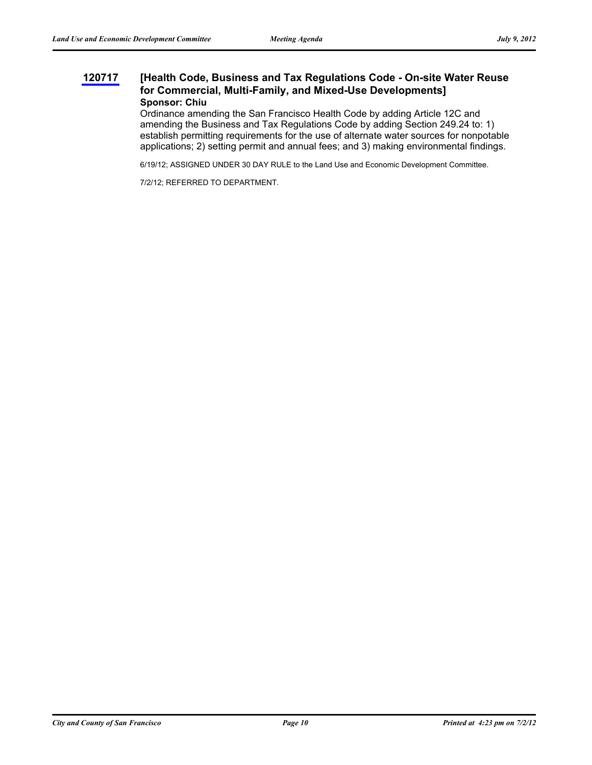### **[Health Code, Business and Tax Regulations Code - On-site Water Reuse for Commercial, Multi-Family, and Mixed-Use Developments] [120717](http://www.sfbos.org/ftp/uploadedfiles/bdsupvrs/committees/materials/LU120717tdr.pdf) Sponsor: Chiu**

Ordinance amending the San Francisco Health Code by adding Article 12C and amending the Business and Tax Regulations Code by adding Section 249.24 to: 1) establish permitting requirements for the use of alternate water sources for nonpotable applications; 2) setting permit and annual fees; and 3) making environmental findings.

6/19/12; ASSIGNED UNDER 30 DAY RULE to the Land Use and Economic Development Committee.

7/2/12; REFERRED TO DEPARTMENT.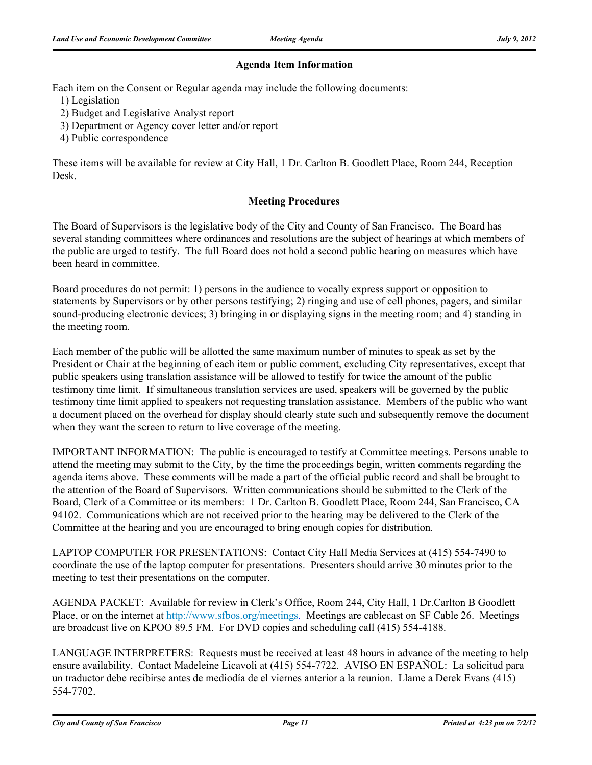# **Agenda Item Information**

Each item on the Consent or Regular agenda may include the following documents:

1) Legislation

- 2) Budget and Legislative Analyst report
- 3) Department or Agency cover letter and/or report
- 4) Public correspondence

These items will be available for review at City Hall, 1 Dr. Carlton B. Goodlett Place, Room 244, Reception Desk.

# **Meeting Procedures**

The Board of Supervisors is the legislative body of the City and County of San Francisco. The Board has several standing committees where ordinances and resolutions are the subject of hearings at which members of the public are urged to testify. The full Board does not hold a second public hearing on measures which have been heard in committee.

Board procedures do not permit: 1) persons in the audience to vocally express support or opposition to statements by Supervisors or by other persons testifying; 2) ringing and use of cell phones, pagers, and similar sound-producing electronic devices; 3) bringing in or displaying signs in the meeting room; and 4) standing in the meeting room.

Each member of the public will be allotted the same maximum number of minutes to speak as set by the President or Chair at the beginning of each item or public comment, excluding City representatives, except that public speakers using translation assistance will be allowed to testify for twice the amount of the public testimony time limit. If simultaneous translation services are used, speakers will be governed by the public testimony time limit applied to speakers not requesting translation assistance. Members of the public who want a document placed on the overhead for display should clearly state such and subsequently remove the document when they want the screen to return to live coverage of the meeting.

IMPORTANT INFORMATION: The public is encouraged to testify at Committee meetings. Persons unable to attend the meeting may submit to the City, by the time the proceedings begin, written comments regarding the agenda items above. These comments will be made a part of the official public record and shall be brought to the attention of the Board of Supervisors. Written communications should be submitted to the Clerk of the Board, Clerk of a Committee or its members: 1 Dr. Carlton B. Goodlett Place, Room 244, San Francisco, CA 94102. Communications which are not received prior to the hearing may be delivered to the Clerk of the Committee at the hearing and you are encouraged to bring enough copies for distribution.

LAPTOP COMPUTER FOR PRESENTATIONS: Contact City Hall Media Services at (415) 554-7490 to coordinate the use of the laptop computer for presentations. Presenters should arrive 30 minutes prior to the meeting to test their presentations on the computer.

AGENDA PACKET: Available for review in Clerk's Office, Room 244, City Hall, 1 Dr.Carlton B Goodlett Place, or on the internet at http://www.sfbos.org/meetings. Meetings are cablecast on SF Cable 26. Meetings are broadcast live on KPOO 89.5 FM. For DVD copies and scheduling call (415) 554-4188.

LANGUAGE INTERPRETERS: Requests must be received at least 48 hours in advance of the meeting to help ensure availability. Contact Madeleine Licavoli at (415) 554-7722. AVISO EN ESPAÑOL: La solicitud para un traductor debe recibirse antes de mediodía de el viernes anterior a la reunion. Llame a Derek Evans (415) 554-7702.